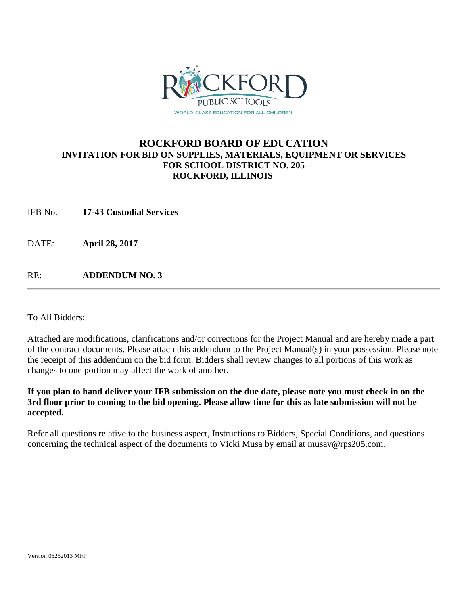

## **ROCKFORD BOARD OF EDUCATION INVITATION FOR BID ON SUPPLIES, MATERIALS, EQUIPMENT OR SERVICES FOR SCHOOL DISTRICT NO. 205 ROCKFORD, ILLINOIS**

IFB No. **17-43 Custodial Services**

DATE: **April 28, 2017**

RE: **ADDENDUM NO. 3**

To All Bidders:

Attached are modifications, clarifications and/or corrections for the Project Manual and are hereby made a part of the contract documents. Please attach this addendum to the Project Manual(s) in your possession. Please note the receipt of this addendum on the bid form. Bidders shall review changes to all portions of this work as changes to one portion may affect the work of another.

## **If you plan to hand deliver your IFB submission on the due date, please note you must check in on the 3rd floor prior to coming to the bid opening. Please allow time for this as late submission will not be accepted.**

Refer all questions relative to the business aspect, Instructions to Bidders, Special Conditions, and questions concerning the technical aspect of the documents to Vicki Musa by email at musav@rps205.com.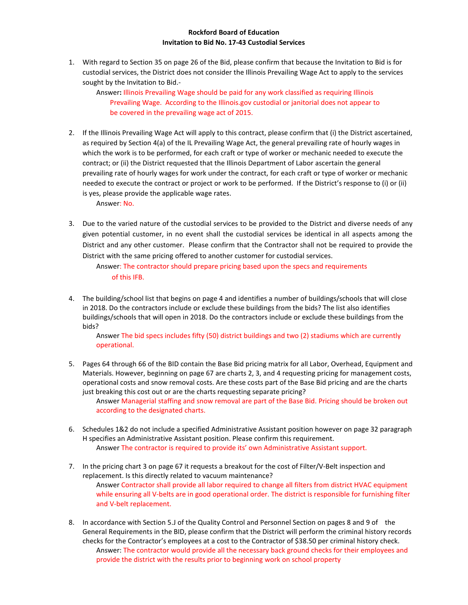## **Rockford Board of Education Invitation to Bid No. 17-43 Custodial Services**

1. With regard to Section 35 on page 26 of the Bid, please confirm that because the Invitation to Bid is for custodial services, the District does not consider the Illinois Prevailing Wage Act to apply to the services sought by the Invitation to Bid.-

Answer**:** Illinois Prevailing Wage should be paid for any work classified as requiring Illinois Prevailing Wage. According to the Illinois.gov custodial or janitorial does not appear to be covered in the prevailing wage act of 2015.

2. If the Illinois Prevailing Wage Act will apply to this contract, please confirm that (i) the District ascertained, as required by Section 4(a) of the IL Prevailing Wage Act, the general prevailing rate of hourly wages in which the work is to be performed, for each craft or type of worker or mechanic needed to execute the contract; or (ii) the District requested that the Illinois Department of Labor ascertain the general prevailing rate of hourly wages for work under the contract, for each craft or type of worker or mechanic needed to execute the contract or project or work to be performed. If the District's response to (i) or (ii) is yes, please provide the applicable wage rates.

Answer: No.

3. Due to the varied nature of the custodial services to be provided to the District and diverse needs of any given potential customer, in no event shall the custodial services be identical in all aspects among the District and any other customer. Please confirm that the Contractor shall not be required to provide the District with the same pricing offered to another customer for custodial services.

Answer: The contractor should prepare pricing based upon the specs and requirements of this IFB.

4. The building/school list that begins on page 4 and identifies a number of buildings/schools that will close in 2018. Do the contractors include or exclude these buildings from the bids? The list also identifies buildings/schools that will open in 2018. Do the contractors include or exclude these buildings from the bids?

Answer The bid specs includes fifty (50) district buildings and two (2) stadiums which are currently operational.

5. Pages 64 through 66 of the BID contain the Base Bid pricing matrix for all Labor, Overhead, Equipment and Materials. However, beginning on page 67 are charts 2, 3, and 4 requesting pricing for management costs, operational costs and snow removal costs. Are these costs part of the Base Bid pricing and are the charts just breaking this cost out or are the charts requesting separate pricing?

Answer Managerial staffing and snow removal are part of the Base Bid. Pricing should be broken out according to the designated charts.

- 6. Schedules 1&2 do not include a specified Administrative Assistant position however on page 32 paragraph H specifies an Administrative Assistant position. Please confirm this requirement. Answer The contractor is required to provide its' own Administrative Assistant support.
- 7. In the pricing chart 3 on page 67 it requests a breakout for the cost of Filter/V-Belt inspection and replacement. Is this directly related to vacuum maintenance? Answer Contractor shall provide all labor required to change all filters from district HVAC equipment while ensuring all V-belts are in good operational order. The district is responsible for furnishing filter and V-belt replacement.
- 8. In accordance with Section 5.J of the Quality Control and Personnel Section on pages 8 and 9 of the General Requirements in the BID, please confirm that the District will perform the criminal history records checks for the Contractor's employees at a cost to the Contractor of \$38.50 per criminal history check. Answer: The contractor would provide all the necessary back ground checks for their employees and provide the district with the results prior to beginning work on school property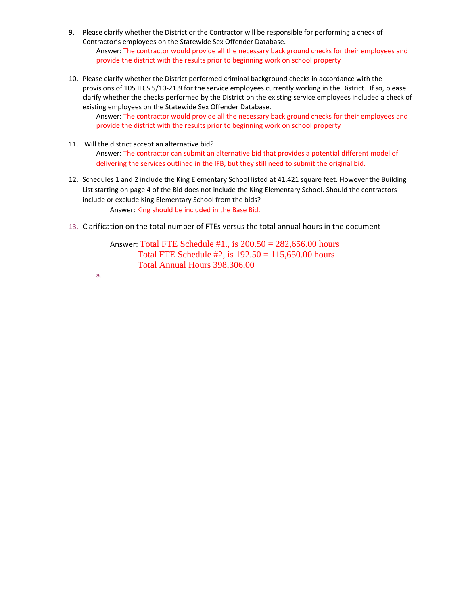- 9. Please clarify whether the District or the Contractor will be responsible for performing a check of Contractor's employees on the Statewide Sex Offender Database. Answer: The contractor would provide all the necessary back ground checks for their employees and provide the district with the results prior to beginning work on school property
- 10. Please clarify whether the District performed criminal background checks in accordance with the provisions of 105 ILCS 5/10-21.9 for the service employees currently working in the District. If so, please clarify whether the checks performed by the District on the existing service employees included a check of existing employees on the Statewide Sex Offender Database.

Answer: The contractor would provide all the necessary back ground checks for their employees and provide the district with the results prior to beginning work on school property

- 11. Will the district accept an alternative bid? Answer: The contractor can submit an alternative bid that provides a potential different model of delivering the services outlined in the IFB, but they still need to submit the original bid.
- 12. Schedules 1 and 2 include the King Elementary School listed at 41,421 square feet. However the Building List starting on page 4 of the Bid does not include the King Elementary School. Should the contractors include or exclude King Elementary School from the bids? Answer: King should be included in the Base Bid.
- 13. Clarification on the total number of FTEs versus the total annual hours in the document

Answer: Total FTE Schedule #1., is 200.50 = 282,656.00 hours Total FTE Schedule  $#2$ , is  $192.50 = 115,650.00$  hours Total Annual Hours 398,306.00

a.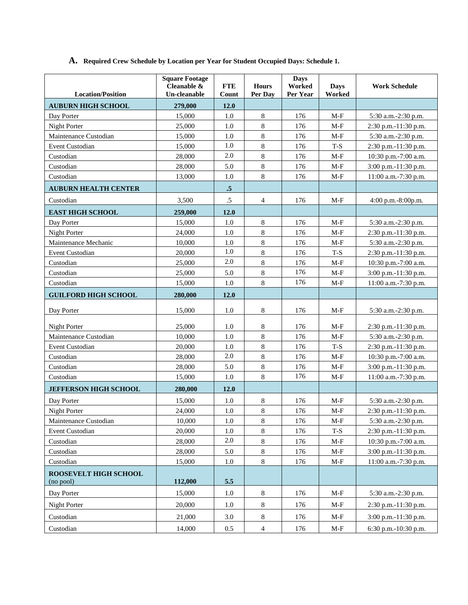## **A. Required Crew Schedule by Location per Year for Student Occupied Days: Schedule 1.**

| <b>Location/Position</b>           | <b>Square Footage</b><br>Cleanable &<br>Un-cleanable | <b>FTE</b><br>Count | <b>Hours</b><br>Per Day | <b>Days</b><br>Worked<br>Per Year | <b>Days</b><br>Worked | <b>Work Schedule</b>     |
|------------------------------------|------------------------------------------------------|---------------------|-------------------------|-----------------------------------|-----------------------|--------------------------|
| <b>AUBURN HIGH SCHOOL</b>          | 279,000                                              | 12.0                |                         |                                   |                       |                          |
| Day Porter                         | 15,000                                               | 1.0                 | $\,8\,$                 | 176                               | $M-F$                 | 5:30 a.m.-2:30 p.m.      |
| Night Porter                       | 25,000                                               | 1.0                 | 8                       | 176                               | $M-F$                 | 2:30 p.m.-11:30 p.m.     |
| Maintenance Custodian              | 15,000                                               | 1.0                 | 8                       | 176                               | $M-F$                 | 5:30 a.m.-2:30 p.m.      |
| <b>Event Custodian</b>             | 15,000                                               | 1.0                 | 8                       | 176                               | $T-S$                 | 2:30 p.m.-11:30 p.m.     |
| Custodian                          | 28,000                                               | 2.0                 | 8                       | 176                               | $M-F$                 | 10:30 p.m.-7:00 a.m.     |
| Custodian                          | 28,000                                               | 5.0                 | 8                       | 176                               | $M-F$                 | 3:00 p.m.-11:30 p.m.     |
| Custodian                          | 13,000                                               | 1.0                 | 8                       | 176                               | $M-F$                 | 11:00 a.m.-7:30 p.m.     |
| <b>AUBURN HEALTH CENTER</b>        |                                                      | $.5\phantom{0}$     |                         |                                   |                       |                          |
| Custodian                          | 3,500                                                | $.5\,$              | 4                       | 176                               | $M-F$                 | $4:00$ p.m. $-8:00$ p.m. |
| <b>EAST HIGH SCHOOL</b>            | 259,000                                              | 12.0                |                         |                                   |                       |                          |
| Day Porter                         | 15,000                                               | 1.0                 | 8                       | 176                               | $M-F$                 | 5:30 a.m.-2:30 p.m.      |
| Night Porter                       | 24,000                                               | 1.0                 | $\,8\,$                 | 176                               | $M-F$                 | 2:30 p.m.-11:30 p.m.     |
| Maintenance Mechanic               | 10,000                                               | 1.0                 | 8                       | 176                               | M-F                   | 5:30 a.m.-2:30 p.m.      |
| Event Custodian                    | 20,000                                               | 1.0                 | 8                       | 176                               | $T-S$                 | 2:30 p.m.-11:30 p.m.     |
| Custodian                          | 25,000                                               | 2.0                 | 8                       | 176                               | $M-F$                 | 10:30 p.m.-7:00 a.m.     |
| Custodian                          | 25,000                                               | 5.0                 | 8                       | 176                               | $M-F$                 | 3:00 p.m.-11:30 p.m.     |
| Custodian                          | 15,000                                               | 1.0                 | 8                       | 176                               | $M-F$                 | 11:00 a.m.-7:30 p.m.     |
| <b>GUILFORD HIGH SCHOOL</b>        | 280,000                                              | 12.0                |                         |                                   |                       |                          |
| Day Porter                         | 15,000                                               | 1.0                 | 8                       | 176                               | $M-F$                 | 5:30 a.m.-2:30 p.m.      |
| Night Porter                       | 25,000                                               | 1.0                 | 8                       | 176                               | $M-F$                 | 2:30 p.m.-11:30 p.m.     |
| Maintenance Custodian              | 10,000                                               | 1.0                 | 8                       | 176                               | $M-F$                 | 5:30 a.m.-2:30 p.m.      |
| Event Custodian                    | 20,000                                               | 1.0                 | $\bf 8$                 | 176                               | $\operatorname{T-S}$  | 2:30 p.m.-11:30 p.m.     |
| Custodian                          | 28,000                                               | 2.0                 | 8                       | 176                               | $M-F$                 | 10:30 p.m.-7:00 a.m.     |
| Custodian                          | 28,000                                               | 5.0                 | 8                       | 176                               | $M-F$                 | 3:00 p.m.-11:30 p.m.     |
| Custodian                          | 15,000                                               | 1.0                 | $\bf 8$                 | 176                               | $M-F$                 | 11:00 a.m.-7:30 p.m.     |
| <b>JEFFERSON HIGH SCHOOL</b>       | 280,000                                              | 12.0                |                         |                                   |                       |                          |
| Day Porter                         | 15,000                                               | 1.0                 | 8                       | 176                               | $M-F$                 | 5:30 a.m.-2:30 p.m.      |
| Night Porter                       | 24,000                                               | 1.0                 | $\bf 8$                 | 176                               | $M-F$                 | 2:30 p.m.-11:30 p.m.     |
| Maintenance Custodian              | 10,000                                               | 1.0                 | $\bf 8$                 | 176                               | $M-F$                 | 5:30 a.m.-2:30 p.m.      |
| Event Custodian                    | 20,000                                               | 1.0                 | 8                       | 176                               | $\operatorname{T-S}$  | 2:30 p.m.-11:30 p.m.     |
| Custodian                          | 28,000                                               | $2.0\,$             | $\,8\,$                 | 176                               | $M-F$                 | 10:30 p.m.-7:00 a.m.     |
| Custodian                          | 28,000                                               | 5.0                 | 8                       | 176                               | $M-F$                 | 3:00 p.m.-11:30 p.m.     |
| Custodian                          | 15,000                                               | 1.0                 | $8\,$                   | 176                               | $M-F$                 | 11:00 a.m.-7:30 p.m.     |
| ROOSEVELT HIGH SCHOOL<br>(no pool) | 112,000                                              | 5.5                 |                         |                                   |                       |                          |
| Day Porter                         | 15,000                                               | 1.0                 | 8                       | 176                               | $M-F$                 | 5:30 a.m.-2:30 p.m.      |
| Night Porter                       | 20,000                                               | 1.0                 | 8                       | 176                               | $M-F$                 | 2:30 p.m.-11:30 p.m.     |
| Custodian                          | 21,000                                               | $3.0\,$             | 8                       | 176                               | $M-F$                 | 3:00 p.m.-11:30 p.m.     |
| Custodian                          | 14,000                                               | $0.5\,$             | $\overline{4}$          | 176                               | $M-F$                 | 6:30 p.m.-10:30 p.m.     |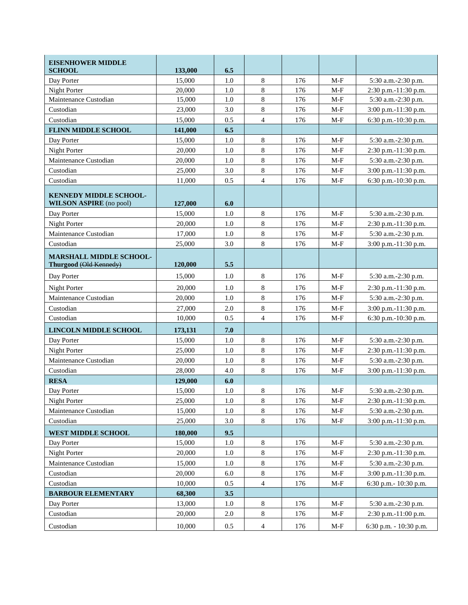| <b>EISENHOWER MIDDLE</b><br><b>SCHOOL</b>                       | 133,000 | 6.5 |                |     |       |                        |
|-----------------------------------------------------------------|---------|-----|----------------|-----|-------|------------------------|
| Day Porter                                                      | 15,000  | 1.0 | 8              | 176 | $M-F$ | 5:30 a.m.-2:30 p.m.    |
| Night Porter                                                    | 20,000  | 1.0 | $\,$ 8 $\,$    | 176 | $M-F$ | 2:30 p.m.-11:30 p.m.   |
| Maintenance Custodian                                           | 15,000  | 1.0 | $\bf 8$        | 176 | $M-F$ | 5:30 a.m.-2:30 p.m.    |
| Custodian                                                       | 23,000  | 3.0 | 8              | 176 | $M-F$ | 3:00 p.m.-11:30 p.m.   |
| Custodian                                                       | 15,000  | 0.5 | $\overline{4}$ | 176 | $M-F$ | 6:30 p.m.-10:30 p.m.   |
| <b>FLINN MIDDLE SCHOOL</b>                                      | 141,000 | 6.5 |                |     |       |                        |
| Day Porter                                                      | 15,000  | 1.0 | 8              | 176 | $M-F$ | 5:30 a.m.-2:30 p.m.    |
| Night Porter                                                    | 20,000  | 1.0 | 8              | 176 | $M-F$ | 2:30 p.m.-11:30 p.m.   |
| Maintenance Custodian                                           | 20,000  | 1.0 | 8              | 176 | $M-F$ | 5:30 a.m.-2:30 p.m.    |
| Custodian                                                       | 25,000  | 3.0 | 8              | 176 | $M-F$ | 3:00 p.m.-11:30 p.m.   |
| Custodian                                                       | 11,000  | 0.5 | $\overline{4}$ | 176 | $M-F$ | 6:30 p.m.-10:30 p.m.   |
| <b>KENNEDY MIDDLE SCHOOL-</b><br><b>WILSON ASPIRE</b> (no pool) | 127,000 | 6.0 |                |     |       |                        |
| Day Porter                                                      | 15,000  | 1.0 | 8              | 176 | $M-F$ | 5:30 a.m.-2:30 p.m.    |
| Night Porter                                                    | 20,000  | 1.0 | 8              | 176 | $M-F$ | 2:30 p.m.-11:30 p.m.   |
| Maintenance Custodian                                           | 17,000  | 1.0 | $\,8\,$        | 176 | $M-F$ | 5:30 a.m.-2:30 p.m.    |
| Custodian                                                       | 25,000  | 3.0 | 8              | 176 | $M-F$ | 3:00 p.m.-11:30 p.m.   |
| <b>MARSHALL MIDDLE SCHOOL-</b><br>Thurgood (Old Kennedy)        | 120,000 | 5.5 |                |     |       |                        |
| Day Porter                                                      | 15,000  | 1.0 | 8              | 176 | $M-F$ | 5:30 a.m.-2:30 p.m.    |
| Night Porter                                                    | 20,000  | 1.0 | 8              | 176 | $M-F$ | 2:30 p.m.-11:30 p.m.   |
| Maintenance Custodian                                           | 20,000  | 1.0 | 8              | 176 | $M-F$ | 5:30 a.m.-2:30 p.m.    |
| Custodian                                                       | 27,000  | 2.0 | 8              | 176 | $M-F$ | 3:00 p.m.-11:30 p.m.   |
| Custodian                                                       | 10,000  | 0.5 | $\overline{4}$ | 176 | $M-F$ | 6:30 p.m.-10:30 p.m.   |
| <b>LINCOLN MIDDLE SCHOOL</b>                                    | 173,131 | 7.0 |                |     |       |                        |
| Day Porter                                                      | 15,000  | 1.0 | 8              | 176 | $M-F$ | 5:30 a.m.-2:30 p.m.    |
| Night Porter                                                    | 25,000  | 1.0 | 8              | 176 | $M-F$ | 2:30 p.m.-11:30 p.m.   |
| Maintenance Custodian                                           | 20,000  | 1.0 | 8              | 176 | $M-F$ | 5:30 a.m.-2:30 p.m.    |
| Custodian                                                       | 28,000  | 4.0 | 8              | 176 | $M-F$ | 3:00 p.m.-11:30 p.m.   |
| <b>RESA</b>                                                     | 129,000 | 6.0 |                |     |       |                        |
| Day Porter                                                      | 15,000  | 1.0 | 8              | 176 | $M-F$ | 5:30 a.m.-2:30 p.m.    |
| Night Porter                                                    | 25,000  | 1.0 | 8              | 176 | $M-F$ | 2:30 p.m.-11:30 p.m.   |
| Maintenance Custodian                                           | 15,000  | 1.0 | 8              | 176 | $M-F$ | 5:30 a.m.-2:30 p.m.    |
| Custodian                                                       | 25,000  | 3.0 | $8\,$          | 176 | $M-F$ | 3:00 p.m.-11:30 p.m.   |
| <b>WEST MIDDLE SCHOOL</b>                                       | 180,000 | 9.5 |                |     |       |                        |
| Day Porter                                                      | 15,000  | 1.0 | 8              | 176 | $M-F$ | 5:30 a.m.-2:30 p.m.    |
| Night Porter                                                    | 20,000  | 1.0 | $8\,$          | 176 | $M-F$ | 2:30 p.m.-11:30 p.m.   |
| Maintenance Custodian                                           | 15,000  | 1.0 | 8              | 176 | $M-F$ | 5:30 a.m.-2:30 p.m.    |
| Custodian                                                       | 20,000  | 6.0 | $8\,$          | 176 | M-F   | 3:00 p.m.-11:30 p.m.   |
| Custodian                                                       | 10,000  | 0.5 | $\overline{4}$ | 176 | $M-F$ | 6:30 p.m.- 10:30 p.m.  |
| <b>BARBOUR ELEMENTARY</b>                                       | 68,300  | 3.5 |                |     |       |                        |
| Day Porter                                                      | 13,000  | 1.0 | 8              | 176 | $M-F$ | 5:30 a.m.-2:30 p.m.    |
| Custodian                                                       | 20,000  | 2.0 | $8\,$          | 176 | M-F   | 2:30 p.m.-11:00 p.m.   |
| Custodian                                                       | 10,000  | 0.5 | $\overline{4}$ | 176 | M-F   | 6:30 p.m. - 10:30 p.m. |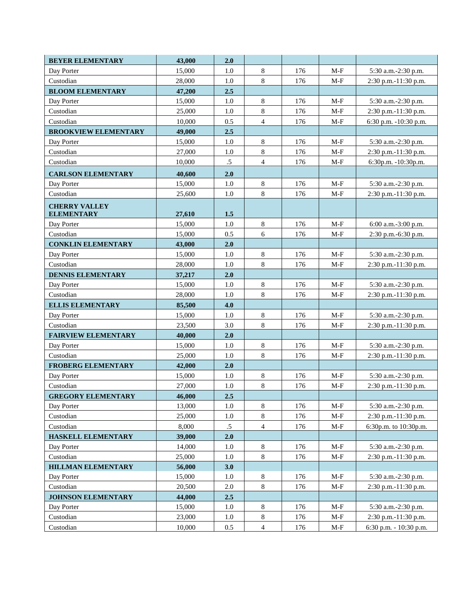| <b>BEYER ELEMENTARY</b>                   | 43,000 | 2.0     |                |     |       |                        |
|-------------------------------------------|--------|---------|----------------|-----|-------|------------------------|
| Day Porter                                | 15,000 | 1.0     | 8              | 176 | $M-F$ | 5:30 a.m.-2:30 p.m.    |
| Custodian                                 | 28,000 | 1.0     | 8              | 176 | $M-F$ | 2:30 p.m.-11:30 p.m.   |
| <b>BLOOM ELEMENTARY</b>                   | 47,200 | 2.5     |                |     |       |                        |
| Day Porter                                | 15,000 | 1.0     | 8              | 176 | $M-F$ | 5:30 a.m.-2:30 p.m.    |
| Custodian                                 | 25,000 | 1.0     | 8              | 176 | $M-F$ | 2:30 p.m.-11:30 p.m.   |
| Custodian                                 | 10,000 | 0.5     | $\overline{4}$ | 176 | $M-F$ | 6:30 p.m. -10:30 p.m.  |
| <b>BROOKVIEW ELEMENTARY</b>               | 49,000 | 2.5     |                |     |       |                        |
| Day Porter                                | 15,000 | 1.0     | $\,8\,$        | 176 | $M-F$ | 5:30 a.m.-2:30 p.m.    |
| Custodian                                 | 27,000 | 1.0     | 8              | 176 | $M-F$ | 2:30 p.m.-11:30 p.m.   |
| Custodian                                 | 10,000 | $.5\,$  | 4              | 176 | $M-F$ | 6:30p.m. -10:30p.m.    |
| <b>CARLSON ELEMENTARY</b>                 | 40,600 | 2.0     |                |     |       |                        |
| Day Porter                                | 15,000 | 1.0     | 8              | 176 | $M-F$ | 5:30 a.m.-2:30 p.m.    |
| Custodian                                 | 25,600 | 1.0     | $8\,$          | 176 | $M-F$ | 2:30 p.m.-11:30 p.m.   |
| <b>CHERRY VALLEY</b><br><b>ELEMENTARY</b> | 27,610 | $1.5$   |                |     |       |                        |
| Day Porter                                | 15,000 | 1.0     | $\,8\,$        | 176 | $M-F$ | 6:00 a.m.-3:00 p.m.    |
| Custodian                                 | 15,000 | 0.5     | 6              | 176 | $M-F$ | 2:30 p.m.-6:30 p.m.    |
| <b>CONKLIN ELEMENTARY</b>                 | 43,000 | 2.0     |                |     |       |                        |
| Day Porter                                | 15,000 | 1.0     | 8              | 176 | $M-F$ | 5:30 a.m.-2:30 p.m.    |
| Custodian                                 | 28,000 | 1.0     | 8              | 176 | $M-F$ | 2:30 p.m.-11:30 p.m.   |
| <b>DENNIS ELEMENTARY</b>                  | 37,217 | 2.0     |                |     |       |                        |
| Day Porter                                | 15,000 | 1.0     | 8              | 176 | $M-F$ | 5:30 a.m.-2:30 p.m.    |
| Custodian                                 | 28,000 | 1.0     | $8\,$          | 176 | $M-F$ | 2:30 p.m.-11:30 p.m.   |
| <b>ELLIS ELEMENTARY</b>                   | 85,500 | 4.0     |                |     |       |                        |
| Day Porter                                | 15,000 | $1.0\,$ | $8\,$          | 176 | $M-F$ | 5:30 a.m.-2:30 p.m.    |
| Custodian                                 | 23,500 | 3.0     | 8              | 176 | $M-F$ | 2:30 p.m.-11:30 p.m.   |
| <b>FAIRVIEW ELEMENTARY</b>                | 40,000 | 2.0     |                |     |       |                        |
| Day Porter                                | 15,000 | 1.0     | 8              | 176 | M-F   | 5:30 a.m.-2:30 p.m.    |
| Custodian                                 | 25,000 | 1.0     | 8              | 176 | $M-F$ | 2:30 p.m.-11:30 p.m.   |
| <b>FROBERG ELEMENTARY</b>                 | 42,000 | 2.0     |                |     |       |                        |
| Day Porter                                | 15,000 | 1.0     | 8              | 176 | $M-F$ | 5:30 a.m.-2:30 p.m.    |
| Custodian                                 | 27,000 | 1.0     | $\,8$          | 176 | $M-F$ | 2:30 p.m.-11:30 p.m.   |
| <b>GREGORY ELEMENTARY</b>                 | 46,000 | 2.5     |                |     |       |                        |
| Day Porter                                | 13,000 | 1.0     | $8\,$          | 176 | $M-F$ | 5:30 a.m.-2:30 p.m.    |
| Custodian                                 | 25,000 | $1.0\,$ | $\,8$          | 176 | $M-F$ | 2:30 p.m.-11:30 p.m.   |
| Custodian                                 | 8,000  | $.5\,$  | 4              | 176 | M-F   | 6:30p.m. to 10:30p.m.  |
| HASKELL ELEMENTARY                        | 39,000 | 2.0     |                |     |       |                        |
| Day Porter                                | 14,000 | 1.0     | 8              | 176 | M-F   | 5:30 a.m.-2:30 p.m.    |
| Custodian                                 | 25,000 | 1.0     | $\,8\,$        | 176 | $M-F$ | 2:30 p.m.-11:30 p.m.   |
| <b>HILLMAN ELEMENTARY</b>                 | 56,000 | 3.0     |                |     |       |                        |
| Day Porter                                | 15,000 | 1.0     | 8              | 176 | $M-F$ | 5:30 a.m.-2:30 p.m.    |
| Custodian                                 | 20,500 | $2.0\,$ | $\,8\,$        | 176 | $M-F$ | 2:30 p.m.-11:30 p.m.   |
| <b>JOHNSON ELEMENTARY</b>                 | 44,000 | 2.5     |                |     |       |                        |
| Day Porter                                | 15,000 | 1.0     | 8              | 176 | $M-F$ | 5:30 a.m.-2:30 p.m.    |
| Custodian                                 | 23,000 | 1.0     | 8              | 176 | $M-F$ | 2:30 p.m.-11:30 p.m.   |
| Custodian                                 | 10,000 | $0.5\,$ | 4              | 176 | $M-F$ | 6:30 p.m. - 10:30 p.m. |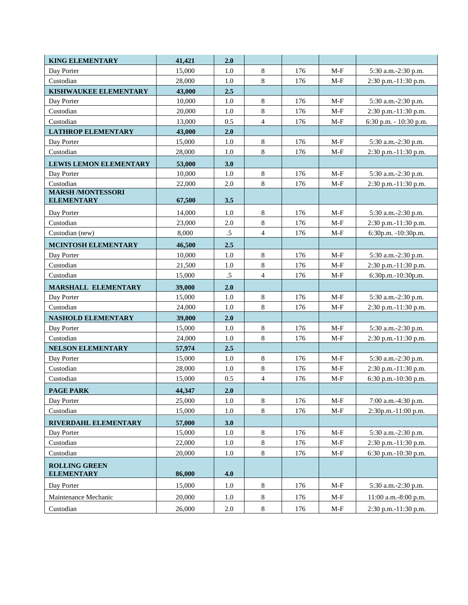| <b>KING ELEMENTARY</b>                        | 41,421 | 2.0     |                |     |       |                        |
|-----------------------------------------------|--------|---------|----------------|-----|-------|------------------------|
| Day Porter                                    | 15,000 | 1.0     | 8              | 176 | $M-F$ | 5:30 a.m.-2:30 p.m.    |
| Custodian                                     | 28,000 | 1.0     | 8              | 176 | $M-F$ | 2:30 p.m.-11:30 p.m.   |
| KISHWAUKEE ELEMENTARY                         | 43,000 | 2.5     |                |     |       |                        |
| Day Porter                                    | 10,000 | 1.0     | 8              | 176 | $M-F$ | 5:30 a.m.-2:30 p.m.    |
| Custodian                                     | 20,000 | 1.0     | 8              | 176 | $M-F$ | 2:30 p.m.-11:30 p.m.   |
| Custodian                                     | 13,000 | 0.5     | $\overline{4}$ | 176 | $M-F$ | 6:30 p.m. - 10:30 p.m. |
| <b>LATHROP ELEMENTARY</b>                     | 43,000 | 2.0     |                |     |       |                        |
| Day Porter                                    | 15,000 | 1.0     | 8              | 176 | $M-F$ | 5:30 a.m.-2:30 p.m.    |
| Custodian                                     | 28,000 | 1.0     | $8\,$          | 176 | $M-F$ | 2:30 p.m.-11:30 p.m.   |
| <b>LEWIS LEMON ELEMENTARY</b>                 | 53,000 | 3.0     |                |     |       |                        |
| Day Porter                                    | 10,000 | 1.0     | 8              | 176 | $M-F$ | 5:30 a.m.-2:30 p.m.    |
| Custodian                                     | 22,000 | 2.0     | $\,8\,$        | 176 | $M-F$ | 2:30 p.m.-11:30 p.m.   |
| <b>MARSH /MONTESSORI</b><br><b>ELEMENTARY</b> | 67,500 | 3.5     |                |     |       |                        |
|                                               |        |         |                |     |       |                        |
| Day Porter                                    | 14,000 | 1.0     | $\,8\,$        | 176 | $M-F$ | 5:30 a.m.-2:30 p.m.    |
| Custodian                                     | 23,000 | 2.0     | $\,8\,$        | 176 | $M-F$ | 2:30 p.m.-11:30 p.m.   |
| Custodian (new)                               | 8,000  | $.5\,$  | $\overline{4}$ | 176 | $M-F$ | 6:30p.m. -10:30p.m.    |
| <b>MCINTOSH ELEMENTARY</b>                    | 46,500 | 2.5     |                |     |       |                        |
| Day Porter                                    | 10,000 | 1.0     | $\,8\,$        | 176 | $M-F$ | 5:30 a.m.-2:30 p.m.    |
| Custodian                                     | 21,500 | 1.0     | 8              | 176 | $M-F$ | 2:30 p.m.-11:30 p.m.   |
| Custodian                                     | 15,000 | $.5\,$  | $\overline{4}$ | 176 | $M-F$ | 6:30p.m.-10:30p.m.     |
| MARSHALL ELEMENTARY                           | 39,000 | 2.0     |                |     |       |                        |
| Day Porter                                    | 15,000 | 1.0     | 8              | 176 | $M-F$ | 5:30 a.m.-2:30 p.m.    |
| Custodian                                     | 24,000 | 1.0     | $\,8\,$        | 176 | $M-F$ | 2:30 p.m.-11:30 p.m.   |
| NASHOLD ELEMENTARY                            | 39,000 | 2.0     |                |     |       |                        |
| Day Porter                                    | 15,000 | 1.0     | $\,8\,$        | 176 | $M-F$ | 5:30 a.m.-2:30 p.m.    |
| Custodian                                     | 24,000 | 1.0     | $\,8\,$        | 176 | $M-F$ | 2:30 p.m.-11:30 p.m.   |
| NELSON ELEMENTARY                             | 57,974 | 2.5     |                |     |       |                        |
| Day Porter                                    | 15,000 | 1.0     | 8              | 176 | $M-F$ | 5:30 a.m.-2:30 p.m.    |
| Custodian                                     | 28,000 | 1.0     | $\,8\,$        | 176 | $M-F$ | 2:30 p.m.-11:30 p.m.   |
| Custodian                                     | 15,000 | 0.5     | 4              | 176 | $M-F$ | 6:30 p.m.-10:30 p.m.   |
| <b>PAGE PARK</b>                              | 44,347 | 2.0     |                |     |       |                        |
| Day Porter                                    | 25,000 | $1.0\,$ | $\,8\,$        | 176 | $M-F$ | 7:00 a.m.-4:30 p.m.    |
| Custodian                                     | 15,000 | 1.0     | $\,8\,$        | 176 | $M-F$ | 2:30p.m.-11:00 p.m.    |
| RIVERDAHL ELEMENTARY                          | 57,000 | 3.0     |                |     |       |                        |
| Day Porter                                    | 15,000 | 1.0     | $\,8\,$        | 176 | $M-F$ | 5:30 a.m.-2:30 p.m.    |
| Custodian                                     | 22,000 | 1.0     | $\,8\,$        | 176 | $M-F$ | 2:30 p.m.-11:30 p.m.   |
| Custodian                                     | 20,000 | 1.0     | 8              | 176 | M-F   | 6:30 p.m.-10:30 p.m.   |
| <b>ROLLING GREEN</b><br><b>ELEMENTARY</b>     | 86,000 | 4.0     |                |     |       |                        |
| Day Porter                                    | 15,000 | 1.0     | $\,8\,$        | 176 | $M-F$ | 5:30 a.m.-2:30 p.m.    |
| Maintenance Mechanic                          | 20,000 | 1.0     | 8              | 176 | $M-F$ | 11:00 a.m.-8:00 p.m.   |
| Custodian                                     | 26,000 | 2.0     | $8\,$          | 176 | $M-F$ | 2:30 p.m.-11:30 p.m.   |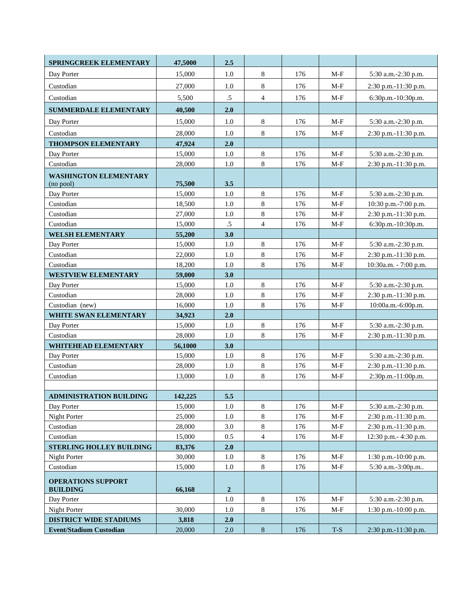| SPRINGCREEK ELEMENTARY             | 47,5000           | 2.5         |                |     |       |                       |
|------------------------------------|-------------------|-------------|----------------|-----|-------|-----------------------|
| Day Porter                         | 15,000            | 1.0         | 8              | 176 | $M-F$ | 5:30 a.m.-2:30 p.m.   |
| Custodian                          | 27,000            | 1.0         | 8              | 176 | $M-F$ | 2:30 p.m.-11:30 p.m.  |
| Custodian                          | 5,500             | $.5\,$      | $\overline{4}$ | 176 | $M-F$ | 6:30p.m.-10:30p.m.    |
| <b>SUMMERDALE ELEMENTARY</b>       | 40,500            | 2.0         |                |     |       |                       |
| Day Porter                         | 15,000            | 1.0         | 8              | 176 | $M-F$ | 5:30 a.m.-2:30 p.m.   |
| Custodian                          | 28,000            | 1.0         | 8              | 176 | $M-F$ | 2:30 p.m.-11:30 p.m.  |
| THOMPSON ELEMENTARY                | 47,924            | 2.0         |                |     |       |                       |
| Day Porter                         | 15,000            | 1.0         | 8              | 176 | $M-F$ | 5:30 a.m.-2:30 p.m.   |
| Custodian                          | 28,000            | 1.0         | 8              | 176 | $M-F$ | 2:30 p.m.-11:30 p.m.  |
| <b>WASHINGTON ELEMENTARY</b>       |                   |             |                |     |       |                       |
| (no pool)                          | 75,500            | 3.5         |                |     |       |                       |
| Day Porter                         | 15,000            | 1.0         | 8              | 176 | $M-F$ | 5:30 a.m.-2:30 p.m.   |
| Custodian                          | 18,500            | 1.0         | 8              | 176 | $M-F$ | 10:30 p.m.-7:00 p.m.  |
| Custodian                          | 27,000            | $1.0\,$     | $\,8\,$        | 176 | $M-F$ | 2:30 p.m.-11:30 p.m.  |
| Custodian                          | 15,000            | $.5\,$      | $\overline{4}$ | 176 | $M-F$ | 6:30p.m.-10:30p.m.    |
| WELSH ELEMENTARY                   | 55,200            | 3.0         |                |     |       |                       |
| Day Porter                         | 15,000            | 1.0         | 8              | 176 | $M-F$ | 5:30 a.m.-2:30 p.m.   |
| Custodian                          | 22,000            | 1.0         | 8              | 176 | $M-F$ | 2:30 p.m.-11:30 p.m.  |
| Custodian                          | 18,200            | 1.0         | 8              | 176 | $M-F$ | 10:30a.m. - 7:00 p.m. |
| <b>WESTVIEW ELEMENTARY</b>         | 59,000            | 3.0         |                |     |       |                       |
| Day Porter                         | 15,000            | $1.0\,$     | $\,8\,$        | 176 | $M-F$ | 5:30 a.m.-2:30 p.m.   |
| Custodian                          | 28,000            | 1.0         | 8              | 176 | $M-F$ | 2:30 p.m.-11:30 p.m.  |
| Custodian (new)                    | 16,000            | $1.0\,$     | 8              | 176 | $M-F$ | 10:00a.m.-6:00p.m.    |
| <b>WHITE SWAN ELEMENTARY</b>       | 34,923            | 2.0         |                |     |       |                       |
| Day Porter                         | 15,000            | 1.0         | 8              | 176 | $M-F$ | 5:30 a.m.-2:30 p.m.   |
| Custodian                          | 28,000            | 1.0         | 8              | 176 | $M-F$ | 2:30 p.m.-11:30 p.m.  |
| WHITEHEAD ELEMENTARY<br>Day Porter | 56,1000<br>15,000 | 3.0<br>1.0  | $\,$ 8 $\,$    | 176 | $M-F$ | 5:30 a.m.-2:30 p.m.   |
| Custodian                          | 28,000            | 1.0         | 8              | 176 | $M-F$ | 2:30 p.m.-11:30 p.m.  |
| Custodian                          | 13,000            | 1.0         | 8              | 176 | $M-F$ | 2:30p.m.-11:00p.m.    |
|                                    |                   |             |                |     |       |                       |
| ADMINISTRATION BUILDING            | 142,225           | 5.5         |                |     |       |                       |
| Day Porter                         | 15,000            | 1.0         | $\,8$          | 176 | $M-F$ | 5:30 a.m.-2:30 p.m.   |
| Night Porter                       | 25,000            | 1.0         | 8              | 176 | $M-F$ | 2:30 p.m.-11:30 p.m.  |
| Custodian                          | 28,000            | 3.0         | 8              | 176 | $M-F$ | 2:30 p.m.-11:30 p.m.  |
| Custodian                          | 15,000            | 0.5         | $\overline{4}$ | 176 | $M-F$ | 12:30 p.m.- 4:30 p.m. |
| <b>STERLING HOLLEY BUILDING</b>    | 83,376            | 2.0         |                |     |       |                       |
| Night Porter                       | 30,000            | 1.0         | $\,8\,$        | 176 | $M-F$ | 1:30 p.m.-10:00 p.m.  |
| Custodian                          | 15,000            | 1.0         | 8              | 176 | $M-F$ | 5:30 a.m.-3:00p.m     |
| <b>OPERATIONS SUPPORT</b>          |                   |             |                |     |       |                       |
| <b>BUILDING</b>                    | 66,168            | $\mathbf 2$ |                |     |       |                       |
| Day Porter                         |                   | $1.0\,$     | 8              | 176 | $M-F$ | 5:30 a.m.-2:30 p.m.   |
| Night Porter                       | 30,000            | 1.0         | 8              | 176 | $M-F$ | 1:30 p.m.-10:00 p.m.  |
| <b>DISTRICT WIDE STADIUMS</b>      | 3,818             | 2.0         |                |     |       |                       |
| <b>Event/Stadium Custodian</b>     | 20,000            | 2.0         | $8\,$          | 176 | $T-S$ | 2:30 p.m.-11:30 p.m.  |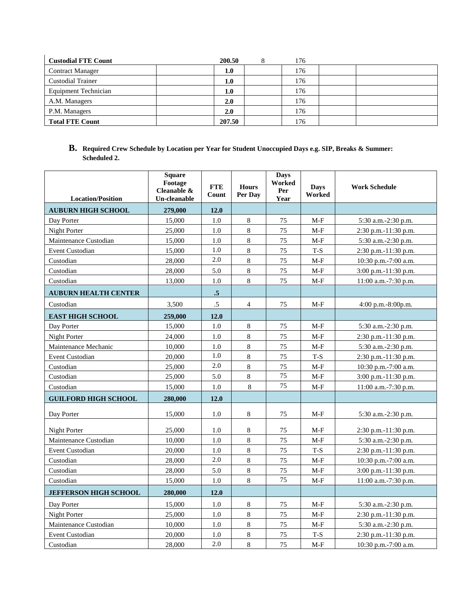| <b>Custodial FTE Count</b>  | 200.50 | 176 |  |
|-----------------------------|--------|-----|--|
| <b>Contract Manager</b>     | 1.0    | 176 |  |
| <b>Custodial Trainer</b>    | 1.0    | 176 |  |
| <b>Equipment Technician</b> | 1.0    | 176 |  |
| A.M. Managers               | 2.0    | 176 |  |
| P.M. Managers               | 2.0    | 176 |  |
| <b>Total FTE Count</b>      | 207.50 | 176 |  |

**B. Required Crew Schedule by Location per Year for Student Unoccupied Days e.g. SIP, Breaks & Summer: Scheduled 2.**

| <b>Location/Position</b>     | <b>Square</b><br>Footage<br>Cleanable &<br>Un-cleanable | <b>FTE</b><br>Count | <b>Hours</b><br>Per Dav | <b>Days</b><br>Worked<br>Per<br>Year | <b>Days</b><br>Worked | <b>Work Schedule</b>     |
|------------------------------|---------------------------------------------------------|---------------------|-------------------------|--------------------------------------|-----------------------|--------------------------|
| <b>AUBURN HIGH SCHOOL</b>    | 279,000                                                 | 12.0                |                         |                                      |                       |                          |
| Day Porter                   | 15,000                                                  | 1.0                 | 8                       | 75                                   | $M-F$                 | 5:30 a.m.-2:30 p.m.      |
| Night Porter                 | 25,000                                                  | 1.0                 | 8                       | 75                                   | $M-F$                 | 2:30 p.m.-11:30 p.m.     |
| Maintenance Custodian        | 15,000                                                  | 1.0                 | 8                       | 75                                   | $M-F$                 | 5:30 a.m.-2:30 p.m.      |
| <b>Event Custodian</b>       | 15,000                                                  | 1.0                 | $\,8\,$                 | 75                                   | $T-S$                 | 2:30 p.m.-11:30 p.m.     |
| Custodian                    | 28,000                                                  | 2.0                 | 8                       | 75                                   | $M-F$                 | 10:30 p.m.-7:00 a.m.     |
| Custodian                    | 28,000                                                  | 5.0                 | 8                       | 75                                   | $M-F$                 | 3:00 p.m.-11:30 p.m.     |
| Custodian                    | 13,000                                                  | 1.0                 | 8                       | 75                                   | $M-F$                 | 11:00 a.m.-7:30 p.m.     |
| <b>AUBURN HEALTH CENTER</b>  |                                                         | .5                  |                         |                                      |                       |                          |
| Custodian                    | 3,500                                                   | $.5\,$              | $\overline{4}$          | 75                                   | $M-F$                 | $4:00$ p.m. $-8:00$ p.m. |
| <b>EAST HIGH SCHOOL</b>      | 259,000                                                 | 12.0                |                         |                                      |                       |                          |
| Day Porter                   | 15,000                                                  | 1.0                 | 8                       | 75                                   | $M-F$                 | 5:30 a.m.-2:30 p.m.      |
| Night Porter                 | 24,000                                                  | 1.0                 | 8                       | 75                                   | $M-F$                 | 2:30 p.m.-11:30 p.m.     |
| Maintenance Mechanic         | 10.000                                                  | 1.0                 | 8                       | 75                                   | $M-F$                 | 5:30 a.m.-2:30 p.m.      |
| <b>Event Custodian</b>       | 20,000                                                  | 1.0                 | 8                       | 75                                   | $T-S$                 | 2:30 p.m.-11:30 p.m.     |
| Custodian                    | 25,000                                                  | $2.0\,$             | 8                       | 75                                   | $M-F$                 | 10:30 p.m.-7:00 a.m.     |
| Custodian                    | 25,000                                                  | 5.0                 | 8                       | 75                                   | $M-F$                 | 3:00 p.m.-11:30 p.m.     |
| Custodian                    | 15,000                                                  | $1.0\,$             | 8                       | 75                                   | $M-F$                 | 11:00 a.m.-7:30 p.m.     |
| <b>GUILFORD HIGH SCHOOL</b>  | 280,000                                                 | 12.0                |                         |                                      |                       |                          |
| Day Porter                   | 15,000                                                  | 1.0                 | 8                       | 75                                   | $M-F$                 | 5:30 a.m.-2:30 p.m.      |
| Night Porter                 | 25,000                                                  | 1.0                 | 8                       | 75                                   | $M-F$                 | $2:30$ p.m.-11:30 p.m.   |
| Maintenance Custodian        | 10,000                                                  | 1.0                 | $\,8\,$                 | 75                                   | $M-F$                 | 5:30 a.m.-2:30 p.m.      |
| <b>Event Custodian</b>       | 20,000                                                  | 1.0                 | 8                       | 75                                   | T-S                   | 2:30 p.m.-11:30 p.m.     |
| Custodian                    | 28,000                                                  | 2.0                 | 8                       | 75                                   | $M-F$                 | 10:30 p.m.-7:00 a.m.     |
| Custodian                    | 28,000                                                  | 5.0                 | 8                       | 75                                   | $M-F$                 | 3:00 p.m.-11:30 p.m.     |
| Custodian                    | 15,000                                                  | 1.0                 | 8                       | 75                                   | $M-F$                 | 11:00 a.m.-7:30 p.m.     |
| <b>JEFFERSON HIGH SCHOOL</b> | 280,000                                                 | 12.0                |                         |                                      |                       |                          |
| Day Porter                   | 15,000                                                  | 1.0                 | $8\,$                   | 75                                   | $M-F$                 | 5:30 a.m.-2:30 p.m.      |
| Night Porter                 | 25,000                                                  | $1.0\,$             | $\,8\,$                 | 75                                   | $M-F$                 | 2:30 p.m.-11:30 p.m.     |
| Maintenance Custodian        | 10,000                                                  | 1.0                 | 8                       | 75                                   | $M-F$                 | 5:30 a.m.-2:30 p.m.      |
| <b>Event Custodian</b>       | 20,000                                                  | 1.0                 | $\,8\,$                 | 75                                   | $T-S$                 | 2:30 p.m.-11:30 p.m.     |
| Custodian                    | 28,000                                                  | 2.0                 | 8                       | 75                                   | $M-F$                 | 10:30 p.m.-7:00 a.m.     |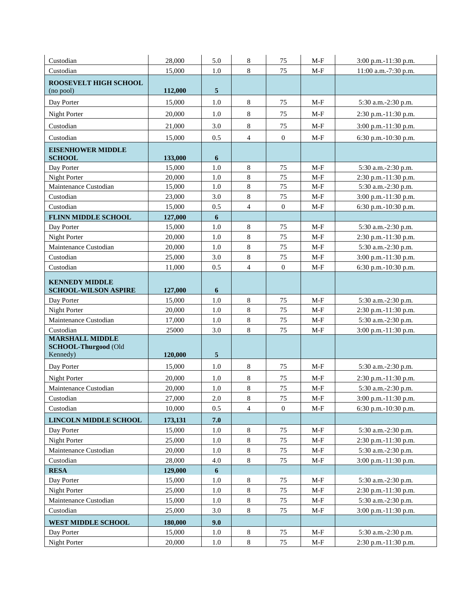| Custodian                                                         | 28,000           | 5.0              | 8                  | 75                     | M-F                            | 3:00 p.m.-11:30 p.m.                         |
|-------------------------------------------------------------------|------------------|------------------|--------------------|------------------------|--------------------------------|----------------------------------------------|
| Custodian                                                         | 15,000           | 1.0              | 8                  | 75                     | $M-F$                          | 11:00 a.m.-7:30 p.m.                         |
| ROOSEVELT HIGH SCHOOL<br>(no pool)                                | 112,000          | 5                |                    |                        |                                |                                              |
| Day Porter                                                        | 15,000           | 1.0              | 8                  | 75                     | $M-F$                          | 5:30 a.m.-2:30 p.m.                          |
| Night Porter                                                      | 20,000           | 1.0              | $\,8\,$            | 75                     | $M-F$                          | 2:30 p.m.-11:30 p.m.                         |
| Custodian                                                         | 21,000           | 3.0              | $\,8\,$            | 75                     | $M-F$                          | 3:00 p.m.-11:30 p.m.                         |
| Custodian                                                         | 15,000           | 0.5              | $\overline{4}$     | $\boldsymbol{0}$       | $M-F$                          | 6:30 p.m.-10:30 p.m.                         |
| <b>EISENHOWER MIDDLE</b>                                          |                  |                  |                    |                        |                                |                                              |
| <b>SCHOOL</b>                                                     | 133,000          | $\boldsymbol{6}$ |                    |                        |                                |                                              |
| Day Porter                                                        | 15,000           | 1.0              | $\,8\,$            | 75                     | $M-F$                          | 5:30 a.m.-2:30 p.m.                          |
| Night Porter                                                      | 20,000           | 1.0              | $\,8\,$            | 75                     | $M-F$                          | 2:30 p.m.-11:30 p.m.                         |
| Maintenance Custodian                                             | 15,000           | 1.0              | $\,8\,$            | 75                     | $M-F$                          | 5:30 a.m.-2:30 p.m.                          |
| Custodian                                                         | 23,000           | 3.0              | $\,8\,$            | 75                     | $M-F$                          | 3:00 p.m.-11:30 p.m.                         |
| Custodian                                                         | 15,000           | 0.5              | $\overline{4}$     | $\mathbf{0}$           | $M-F$                          | 6:30 p.m.-10:30 p.m.                         |
| <b>FLINN MIDDLE SCHOOL</b>                                        | 127,000          | 6                |                    |                        |                                |                                              |
| Day Porter                                                        | 15,000           | 1.0              | $\,8\,$<br>$\,8\,$ | 75<br>75               | $M-F$                          | 5:30 a.m.-2:30 p.m.                          |
| Night Porter<br>Maintenance Custodian                             | 20,000<br>20,000 | 1.0<br>1.0       | $\,8\,$            | 75                     | $M-F$                          | 2:30 p.m.-11:30 p.m.<br>5:30 a.m.-2:30 p.m.  |
|                                                                   |                  |                  | $8\,$              |                        | $M-F$                          |                                              |
| Custodian<br>Custodian                                            | 25,000           | 3.0              | $\overline{4}$     | 75<br>$\boldsymbol{0}$ | $M-F$                          | 3:00 p.m.-11:30 p.m.<br>6:30 p.m.-10:30 p.m. |
|                                                                   | 11,000           | 0.5              |                    |                        | $M-F$                          |                                              |
| <b>KENNEDY MIDDLE</b><br><b>SCHOOL-WILSON ASPIRE</b>              | 127,000          | 6                |                    |                        |                                |                                              |
| Day Porter                                                        | 15,000           | 1.0              | $\,8\,$            | 75                     | $M-F$                          | 5:30 a.m.-2:30 p.m.                          |
| Night Porter                                                      | 20,000           | 1.0              | $\,8\,$            | 75                     | $M-F$                          | 2:30 p.m.-11:30 p.m.                         |
| Maintenance Custodian                                             | 17,000           | 1.0              | $\,8\,$            | 75                     | $M-F$                          | 5:30 a.m.-2:30 p.m.                          |
| Custodian                                                         | 25000            | 3.0              | $\,8\,$            | 75                     | $M-F$                          | 3:00 p.m.-11:30 p.m.                         |
| <b>MARSHALL MIDDLE</b><br><b>SCHOOL-Thurgood (Old</b><br>Kennedy) | 120,000          | 5                |                    |                        |                                |                                              |
| Day Porter                                                        | 15,000           | 1.0              | $\,8\,$            | 75                     | $M-F$                          | 5:30 a.m.-2:30 p.m.                          |
| <b>Night Porter</b>                                               | 20,000           | 1.0              | $8\,$              | 75                     | $M-F$                          | 2:30 p.m.-11:30 p.m.                         |
| Maintenance Custodian                                             | 20,000           | 1.0              | $\,8\,$            | 75                     | $M-F$                          | 5:30 a.m.-2:30 p.m.                          |
| Custodian                                                         | 27,000           | $2.0\,$          | 8                  | $75\,$                 | $\mathbf{M}\text{-}\mathbf{F}$ | 3:00 p.m.-11:30 p.m.                         |
| Custodian                                                         | 10,000           | 0.5              | 4                  | $\boldsymbol{0}$       | M-F                            | 6:30 p.m.- $10:30$ p.m.                      |
| <b>LINCOLN MIDDLE SCHOOL</b>                                      | 173,131          | 7.0              |                    |                        |                                |                                              |
| Day Porter                                                        | 15,000           | $1.0\,$          | $\,8\,$            | 75                     | $M-F$                          | 5:30 a.m.-2:30 p.m.                          |
| Night Porter                                                      | 25,000           | $1.0\,$          | $\,8\,$            | 75                     | $M-F$                          | 2:30 p.m.-11:30 p.m.                         |
| Maintenance Custodian                                             | 20,000           | 1.0              | 8                  | 75                     | M-F                            | 5:30 a.m.-2:30 p.m.                          |
| Custodian                                                         | 28,000           | 4.0              | $\,8\,$            | 75                     | $M-F$                          | 3:00 p.m.-11:30 p.m.                         |
| <b>RESA</b>                                                       | 129,000          | 6                |                    |                        |                                |                                              |
| Day Porter                                                        | 15,000           | 1.0              | 8                  | 75                     | $M-F$                          | 5:30 a.m.-2:30 p.m.                          |
| Night Porter                                                      | 25,000           | $1.0\,$          | $\,8\,$            | 75                     | $M-F$                          | 2:30 p.m.-11:30 p.m.                         |
| Maintenance Custodian                                             | 15,000           | 1.0              | $8\,$              | 75                     | $M-F$                          | 5:30 a.m.-2:30 p.m.                          |
| Custodian                                                         | 25,000           | 3.0              | $8\,$              | 75                     | $M-F$                          | 3:00 p.m.-11:30 p.m.                         |
| <b>WEST MIDDLE SCHOOL</b>                                         | 180,000          | 9.0              |                    |                        |                                |                                              |
| Day Porter                                                        | 15,000           | 1.0              | $8\,$              | 75                     | M-F                            | 5:30 a.m.-2:30 p.m.                          |
| Night Porter                                                      | 20,000           | 1.0              | $8\,$              | 75                     | $M-F$                          | 2:30 p.m.-11:30 p.m.                         |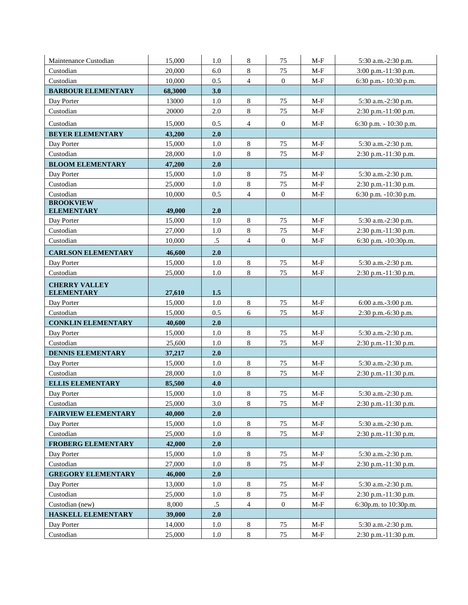| Maintenance Custodian                     | 15,000  | 1.0     | 8              | 75               | $M-F$ | 5:30 a.m.-2:30 p.m.    |
|-------------------------------------------|---------|---------|----------------|------------------|-------|------------------------|
| Custodian                                 | 20,000  | 6.0     | $8\,$          | 75               | $M-F$ | 3:00 p.m.-11:30 p.m.   |
| Custodian                                 | 10,000  | 0.5     | $\overline{4}$ | $\mathbf{0}$     | $M-F$ | 6:30 p.m.- 10:30 p.m.  |
| <b>BARBOUR ELEMENTARY</b>                 | 68,3000 | 3.0     |                |                  |       |                        |
| Day Porter                                | 13000   | 1.0     | $\,8\,$        | 75               | $M-F$ | 5:30 a.m.-2:30 p.m.    |
| Custodian                                 | 20000   | 2.0     | $\,8\,$        | 75               | $M-F$ | 2:30 p.m.-11:00 p.m.   |
| Custodian                                 | 15,000  | 0.5     | $\overline{4}$ | $\mathbf{0}$     | $M-F$ | 6:30 p.m. - 10:30 p.m. |
| <b>BEYER ELEMENTARY</b>                   | 43,200  | 2.0     |                |                  |       |                        |
| Day Porter                                | 15,000  | 1.0     | 8              | 75               | M-F   | 5:30 a.m.-2:30 p.m.    |
| Custodian                                 | 28,000  | $1.0\,$ | $\,8\,$        | 75               | $M-F$ | 2:30 p.m.-11:30 p.m.   |
| <b>BLOOM ELEMENTARY</b>                   | 47,200  | 2.0     |                |                  |       |                        |
| Day Porter                                | 15,000  | 1.0     | $\,8\,$        | 75               | $M-F$ | 5:30 a.m.-2:30 p.m.    |
| Custodian                                 | 25,000  | 1.0     | $\,8\,$        | 75               | $M-F$ | 2:30 p.m.-11:30 p.m.   |
| Custodian                                 | 10,000  | 0.5     | $\overline{4}$ | $\boldsymbol{0}$ | $M-F$ | 6:30 p.m. -10:30 p.m.  |
| <b>BROOKVIEW</b><br><b>ELEMENTARY</b>     | 49,000  | 2.0     |                |                  |       |                        |
| Day Porter                                | 15,000  | 1.0     | $\,8\,$        | 75               | $M-F$ | 5:30 a.m.-2:30 p.m.    |
| Custodian                                 | 27,000  | 1.0     | $\,8\,$        | 75               | $M-F$ | 2:30 p.m.-11:30 p.m.   |
| Custodian                                 | 10,000  | $.5\,$  | $\overline{4}$ | $\mathbf{0}$     | $M-F$ | 6:30 p.m. -10:30p.m.   |
| <b>CARLSON ELEMENTARY</b>                 | 46,600  | 2.0     |                |                  |       |                        |
| Day Porter                                | 15,000  | 1.0     | $\,8\,$        | 75               | $M-F$ | 5:30 a.m.-2:30 p.m.    |
| Custodian                                 | 25,000  | 1.0     | $8\,$          | 75               | $M-F$ | 2:30 p.m.-11:30 p.m.   |
| <b>CHERRY VALLEY</b><br><b>ELEMENTARY</b> | 27,610  | $1.5$   |                |                  |       |                        |
| Day Porter                                | 15,000  | $1.0\,$ | $\,8\,$        | 75               | $M-F$ | 6:00 a.m.-3:00 p.m.    |
| Custodian                                 | 15,000  | 0.5     | 6              | 75               | M-F   | 2:30 p.m.-6:30 p.m.    |
| <b>CONKLIN ELEMENTARY</b>                 | 40,600  | 2.0     |                |                  |       |                        |
| Day Porter                                | 15,000  | $1.0\,$ | $\,8\,$        | 75               | $M-F$ | 5:30 a.m.-2:30 p.m.    |
| Custodian                                 | 25,600  | 1.0     | $\,8\,$        | 75               | $M-F$ | 2:30 p.m.-11:30 p.m.   |
| <b>DENNIS ELEMENTARY</b>                  | 37,217  | 2.0     |                |                  |       |                        |
| Day Porter                                | 15,000  | 1.0     | 8              | 75               | M-F   | 5:30 a.m.-2:30 p.m.    |
| Custodian                                 | 28,000  | 1.0     | $8\,$          | 75               | M-F   | 2:30 p.m.-11:30 p.m.   |
| <b>ELLIS ELEMENTARY</b>                   | 85,500  | 4.0     |                |                  |       |                        |
| Day Porter                                | 15,000  | $1.0\,$ | $\,8\,$        | 75               | $M-F$ | 5:30 a.m.-2:30 p.m.    |
| Custodian                                 | 25,000  | 3.0     | $\,8\,$        | 75               | $M-F$ | 2:30 p.m.-11:30 p.m.   |
| <b>FAIRVIEW ELEMENTARY</b>                | 40,000  | 2.0     |                |                  |       |                        |
| Day Porter                                | 15,000  | 1.0     | $\,8\,$        | 75               | $M-F$ | 5:30 a.m.-2:30 p.m.    |
| Custodian                                 | 25,000  | $1.0\,$ | $\,8\,$        | 75               | $M-F$ | 2:30 p.m.-11:30 p.m.   |
| <b>FROBERG ELEMENTARY</b>                 | 42,000  | 2.0     |                |                  |       |                        |
| Day Porter                                | 15,000  | $1.0\,$ | $\,8\,$        | 75               | $M-F$ | 5:30 a.m.-2:30 p.m.    |
| Custodian                                 | 27,000  | 1.0     | $\,8\,$        | 75               | $M-F$ | 2:30 p.m.-11:30 p.m.   |
| <b>GREGORY ELEMENTARY</b>                 | 46,000  | 2.0     |                |                  |       |                        |
| Day Porter                                | 13,000  | $1.0\,$ | $\,8\,$        | 75               | $M-F$ | 5:30 a.m.-2:30 p.m.    |
| Custodian                                 | 25,000  | 1.0     | $\,8\,$        | 75               | $M-F$ | 2:30 p.m.-11:30 p.m.   |
| Custodian (new)                           | 8,000   | $.5\,$  | $\overline{4}$ | $\boldsymbol{0}$ | $M-F$ | 6:30p.m. to 10:30p.m.  |
| <b>HASKELL ELEMENTARY</b>                 | 39,000  | 2.0     |                |                  |       |                        |
| Day Porter                                | 14,000  | 1.0     | $8\,$          | 75               | $M-F$ | 5:30 a.m.-2:30 p.m.    |
| Custodian                                 | 25,000  | $1.0\,$ | $\,8\,$        | 75               | $M-F$ | 2:30 p.m.-11:30 p.m.   |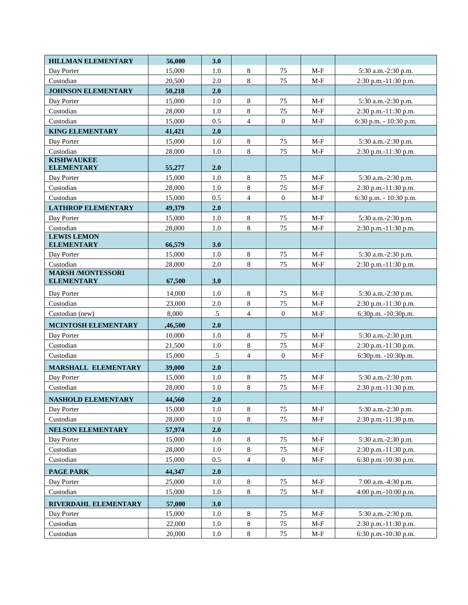| <b>HILLMAN ELEMENTARY</b> | 56,000           | 3.0        |                           |                  |       |                        |
|---------------------------|------------------|------------|---------------------------|------------------|-------|------------------------|
| Day Porter                | 15,000           | 1.0        | 8                         | 75               | $M-F$ | 5:30 a.m.-2:30 p.m.    |
| Custodian                 | 20,500           | $2.0\,$    | $\,8\,$                   | 75               | $M-F$ | 2:30 p.m.-11:30 p.m.   |
| <b>JOHNSON ELEMENTARY</b> | 50,218           | 2.0        |                           |                  |       |                        |
| Day Porter                | 15,000           | 1.0        | $\,8\,$                   | 75               | $M-F$ | 5:30 a.m.-2:30 p.m.    |
| Custodian                 | 28,000           | 1.0        | $\,8\,$                   | 75               | $M-F$ | 2:30 p.m.-11:30 p.m.   |
| Custodian                 | 15,000           | 0.5        | $\overline{4}$            | $\boldsymbol{0}$ | $M-F$ | 6:30 p.m. - 10:30 p.m. |
| <b>KING ELEMENTARY</b>    | 41,421           | 2.0        |                           |                  |       |                        |
| Day Porter                | 15,000           | 1.0        | $\,8\,$                   | 75               | $M-F$ | 5:30 a.m.-2:30 p.m.    |
| Custodian                 | 28,000           | 1.0        | $\,8\,$                   | 75               | $M-F$ | 2:30 p.m.-11:30 p.m.   |
| <b>KISHWAUKEE</b>         |                  |            |                           |                  |       |                        |
| <b>ELEMENTARY</b>         | 55,277           | 2.0        |                           |                  |       |                        |
| Day Porter                | 15,000           | 1.0        | $\,8\,$                   | 75               | $M-F$ | 5:30 a.m.-2:30 p.m.    |
| Custodian                 | 28,000           | 1.0        | $\,8\,$<br>$\overline{4}$ | 75               | $M-F$ | 2:30 p.m.-11:30 p.m.   |
| Custodian                 | 15,000           | 0.5        |                           | $\overline{0}$   | $M-F$ | 6:30 p.m. - 10:30 p.m. |
| <b>LATHROP ELEMENTARY</b> | 49,379           | 2.0<br>1.0 | $8\,$                     |                  |       |                        |
| Day Porter<br>Custodian   | 15,000<br>28,000 |            | 8                         | 75               | $M-F$ | 5:30 a.m.-2:30 p.m.    |
| <b>LEWIS LEMON</b>        |                  | $1.0\,$    |                           | 75               | $M-F$ | 2:30 p.m.-11:30 p.m.   |
| <b>ELEMENTARY</b>         | 66,579           | 3.0        |                           |                  |       |                        |
| Day Porter                | 15,000           | 1.0        | $8\,$                     | 75               | $M-F$ | 5:30 a.m.-2:30 p.m.    |
| Custodian                 | 28,000           | $2.0\,$    | $\,8\,$                   | 75               | $M-F$ | 2:30 p.m.-11:30 p.m.   |
| <b>MARSH /MONTESSORI</b>  |                  |            |                           |                  |       |                        |
| <b>ELEMENTARY</b>         | 67,500           | 3.0        |                           |                  |       |                        |
| Day Porter                | 14,000           | $1.0\,$    | 8                         | 75               | $M-F$ | 5:30 a.m.-2:30 p.m.    |
| Custodian                 | 23,000           | $2.0\,$    | $\,8\,$                   | $75\,$           | $M-F$ | 2:30 p.m.-11:30 p.m.   |
| Custodian (new)           | 8,000            | $.5\,$     | $\overline{4}$            | $\boldsymbol{0}$ | $M-F$ | 6:30p.m. -10:30p.m.    |
| MCINTOSH ELEMENTARY       | ,46,500          | 2.0        |                           |                  |       |                        |
| Day Porter                | 10,000           | $1.0\,$    | $8\,$                     | 75               | $M-F$ | 5:30 a.m.-2:30 p.m.    |
| Custodian                 | 21,500           | 1.0        | 8                         | 75               | $M-F$ | 2:30 p.m.-11:30 p.m.   |
| Custodian                 | 15,000           | $.5\,$     | $\overline{4}$            | $\boldsymbol{0}$ | $M-F$ | 6:30p.m. -10:30p.m.    |
| MARSHALL ELEMENTARY       | 39,000           | 2.0        |                           |                  |       |                        |
| Day Porter                | 15,000           | 1.0        | $\,8\,$                   | 75               | $M-F$ | 5:30 a.m.-2:30 p.m.    |
| Custodian                 | 28,000           | 1.0        | $\,8\,$                   | 75               | $M-F$ | 2:30 p.m.-11:30 p.m.   |
| NASHOLD ELEMENTARY        | 44,560           | 2.0        |                           |                  |       |                        |
| Day Porter                | 15,000           | 1.0        | $\,8\,$                   | 75               | $M-F$ | 5:30 a.m.-2:30 p.m.    |
| Custodian                 | 28,000           | 1.0        | $8\,$                     | 75               | $M-F$ | 2:30 p.m.-11:30 p.m.   |
| <b>NELSON ELEMENTARY</b>  | 57,974           | 2.0        |                           |                  |       |                        |
| Day Porter                | 15,000           | 1.0        | $\,8\,$                   | 75               | $M-F$ | 5:30 a.m.-2:30 p.m.    |
| Custodian                 | 28,000           | $1.0\,$    | $8\,$                     | 75               | $M-F$ | 2:30 p.m.-11:30 p.m.   |
| Custodian                 | 15,000           | 0.5        | $\overline{4}$            | $\mathbf{0}$     | $M-F$ | 6:30 p.m.-10:30 p.m.   |
| PAGE PARK                 | 44,347           | 2.0        |                           |                  |       |                        |
| Day Porter                | 25,000           | $1.0\,$    | $\,8\,$                   | 75               | $M-F$ | 7:00 a.m.-4:30 p.m.    |
| Custodian                 | 15,000           | 1.0        | $\,8\,$                   | 75               | M-F   | 4:00 p.m.-10:00 p.m.   |
| RIVERDAHL ELEMENTARY      | 57,000           | 3.0        |                           |                  |       |                        |
| Day Porter                | 15,000           | $1.0\,$    | $\,8\,$                   | 75               | $M-F$ | 5:30 a.m.-2:30 p.m.    |
| Custodian                 | 22,000           | 1.0        | $\,8\,$                   | 75               | $M-F$ | 2:30 p.m.-11:30 p.m.   |
| Custodian                 | 20,000           | $1.0\,$    | 8                         | 75               | M-F   | 6:30 p.m.-10:30 p.m.   |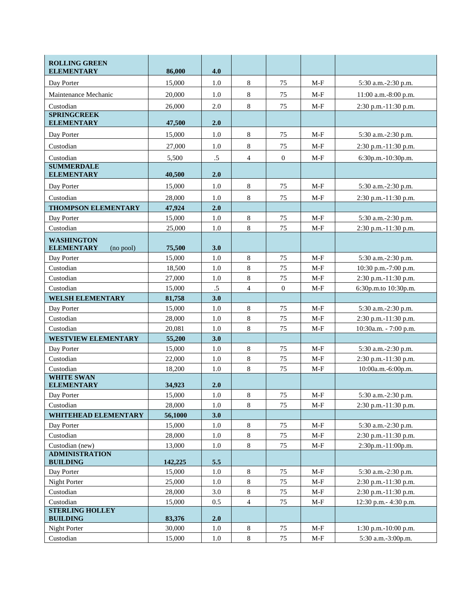| <b>ROLLING GREEN</b><br><b>ELEMENTARY</b>           | 86,000  | 4.0     |                |                  |       |                           |
|-----------------------------------------------------|---------|---------|----------------|------------------|-------|---------------------------|
| Day Porter                                          | 15,000  | 1.0     | $\,8\,$        | 75               | $M-F$ | 5:30 a.m.-2:30 p.m.       |
| Maintenance Mechanic                                | 20,000  | 1.0     | $\,8\,$        | 75               | $M-F$ | 11:00 a.m.-8:00 p.m.      |
| Custodian                                           | 26,000  | 2.0     | $8\,$          | 75               | $M-F$ | 2:30 p.m.-11:30 p.m.      |
| <b>SPRINGCREEK</b>                                  |         |         |                |                  |       |                           |
| <b>ELEMENTARY</b>                                   | 47,500  | 2.0     |                |                  |       |                           |
| Day Porter                                          | 15,000  | 1.0     | $\,8\,$        | 75               | $M-F$ | 5:30 a.m.-2:30 p.m.       |
| Custodian                                           | 27,000  | 1.0     | $\,8\,$        | 75               | $M-F$ | 2:30 p.m.-11:30 p.m.      |
| Custodian                                           | 5,500   | $.5\,$  | $\overline{4}$ | $\boldsymbol{0}$ | $M-F$ | 6:30p.m.-10:30p.m.        |
| <b>SUMMERDALE</b><br><b>ELEMENTARY</b>              | 40,500  | 2.0     |                |                  |       |                           |
| Day Porter                                          | 15,000  | 1.0     | $\,8\,$        | 75               | $M-F$ | 5:30 a.m.-2:30 p.m.       |
| Custodian                                           | 28,000  | 1.0     | $\,8\,$        | 75               | $M-F$ | $2:30$ p.m.-11:30 p.m.    |
| <b>THOMPSON ELEMENTARY</b>                          | 47,924  | 2.0     |                |                  |       |                           |
| Day Porter                                          | 15,000  | 1.0     | $\,8\,$        | 75               | $M-F$ | 5:30 a.m.-2:30 p.m.       |
| Custodian                                           | 25,000  | 1.0     | $\,8\,$        | 75               | $M-F$ | 2:30 p.m.-11:30 p.m.      |
| <b>WASHINGTON</b><br><b>ELEMENTARY</b><br>(no pool) | 75,500  | 3.0     |                |                  |       |                           |
| Day Porter                                          | 15,000  | 1.0     | $\,8\,$        | 75               | $M-F$ | 5:30 a.m.-2:30 p.m.       |
| Custodian                                           | 18,500  | 1.0     | $\,8\,$        | 75               | $M-F$ | 10:30 p.m.-7:00 p.m.      |
| Custodian                                           | 27,000  | 1.0     | $\,8\,$        | 75               | $M-F$ | 2:30 p.m.-11:30 p.m.      |
| Custodian                                           | 15,000  | $.5\,$  | $\overline{4}$ | $\overline{0}$   | $M-F$ | 6:30p.m.to 10:30p.m.      |
| <b>WELSH ELEMENTARY</b>                             | 81,758  | 3.0     |                |                  |       |                           |
| Day Porter                                          | 15,000  | 1.0     | $8\,$          | 75               | $M-F$ | 5:30 a.m.-2:30 p.m.       |
| Custodian                                           | 28,000  | 1.0     | $\,8\,$        | 75               | $M-F$ | 2:30 p.m.-11:30 p.m.      |
| Custodian                                           | 20,081  | 1.0     | $8\,$          | 75               | $M-F$ | 10:30a.m. - 7:00 p.m.     |
| <b>WESTVIEW ELEMENTARY</b>                          | 55,200  | 3.0     |                |                  |       |                           |
| Day Porter                                          | 15,000  | 1.0     | $\,8\,$        | 75               | $M-F$ | 5:30 a.m.-2:30 p.m.       |
| Custodian                                           | 22,000  | 1.0     | $8\,$          | 75               | $M-F$ | 2:30 p.m.-11:30 p.m.      |
| Custodian<br><b>WHITE SWAN</b>                      | 18,200  | 1.0     | $\,8\,$        | 75               | $M-F$ | 10:00a.m.-6:00p.m.        |
| <b>ELEMENTARY</b>                                   | 34,923  | 2.0     |                |                  |       |                           |
| Day Porter                                          | 15,000  | 1.0     | $\,8\,$        | 75               | $M-F$ | 5:30 a.m.-2:30 p.m.       |
| Custodian                                           | 28,000  | 1.0     | $\,8\,$        | 75               | $M-F$ | 2:30 p.m.-11:30 p.m.      |
| <b>WHITEHEAD ELEMENTARY</b>                         | 56,1000 | 3.0     |                |                  |       |                           |
| Day Porter                                          | 15,000  | $1.0\,$ | $\,8\,$        | 75               | $M-F$ | 5:30 a.m.-2:30 p.m.       |
| Custodian                                           | 28,000  | $1.0\,$ | $8\,$          | $75\,$           | $M-F$ | 2:30 p.m.-11:30 p.m.      |
| Custodian (new)                                     | 13,000  | 1.0     | $8\,$          | 75               | $M-F$ | 2:30p.m.-11:00p.m.        |
| <b>ADMINISTRATION</b><br><b>BUILDING</b>            | 142,225 | 5.5     |                |                  |       |                           |
| Day Porter                                          | 15,000  | 1.0     | $\,8\,$        | 75               | $M-F$ | 5:30 a.m.-2:30 p.m.       |
| Night Porter                                        | 25,000  | 1.0     | $8\,$          | 75               | $M-F$ | 2:30 p.m.-11:30 p.m.      |
| Custodian                                           | 28,000  | 3.0     | $8\,$          | 75               | $M-F$ | 2:30 p.m.-11:30 p.m.      |
| Custodian                                           | 15,000  | 0.5     | $\overline{4}$ | 75               | $M-F$ | 12:30 p.m.- 4:30 p.m.     |
| <b>STERLING HOLLEY</b><br><b>BUILDING</b>           | 83,376  | 2.0     |                |                  |       |                           |
| Night Porter                                        | 30,000  | 1.0     | $8\,$          | 75               | $M-F$ | $1:30$ p.m.- $10:00$ p.m. |
| Custodian                                           | 15,000  | $1.0\,$ | $\,8\,$        | $75\,$           | $M-F$ | 5:30 a.m.-3:00p.m.        |